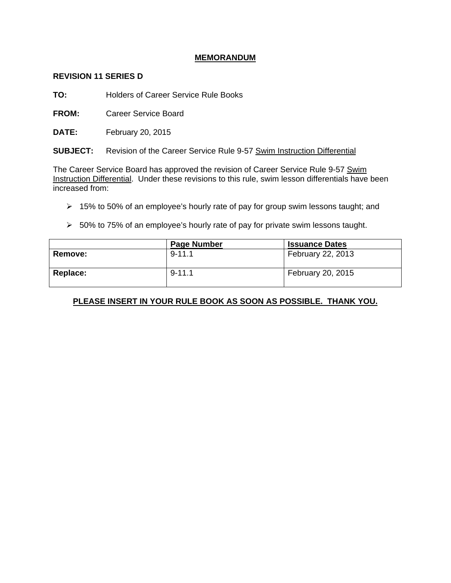## **MEMORANDUM**

## **REVISION 11 SERIES D**

**TO:** Holders of Career Service Rule Books

**FROM:** Career Service Board

**DATE:** February 20, 2015

**SUBJECT:** Revision of the Career Service Rule 9-57 Swim Instruction Differential

The Career Service Board has approved the revision of Career Service Rule 9-57 Swim Instruction Differential. Under these revisions to this rule, swim lesson differentials have been increased from:

- $\geq 15\%$  to 50% of an employee's hourly rate of pay for group swim lessons taught; and
- $>$  50% to 75% of an employee's hourly rate of pay for private swim lessons taught.

|                | <b>Page Number</b> | <b>Issuance Dates</b>    |
|----------------|--------------------|--------------------------|
| <b>Remove:</b> | $9 - 11.1$         | <b>February 22, 2013</b> |
| Replace:       | $9 - 11.1$         | February 20, 2015        |

## **PLEASE INSERT IN YOUR RULE BOOK AS SOON AS POSSIBLE. THANK YOU.**